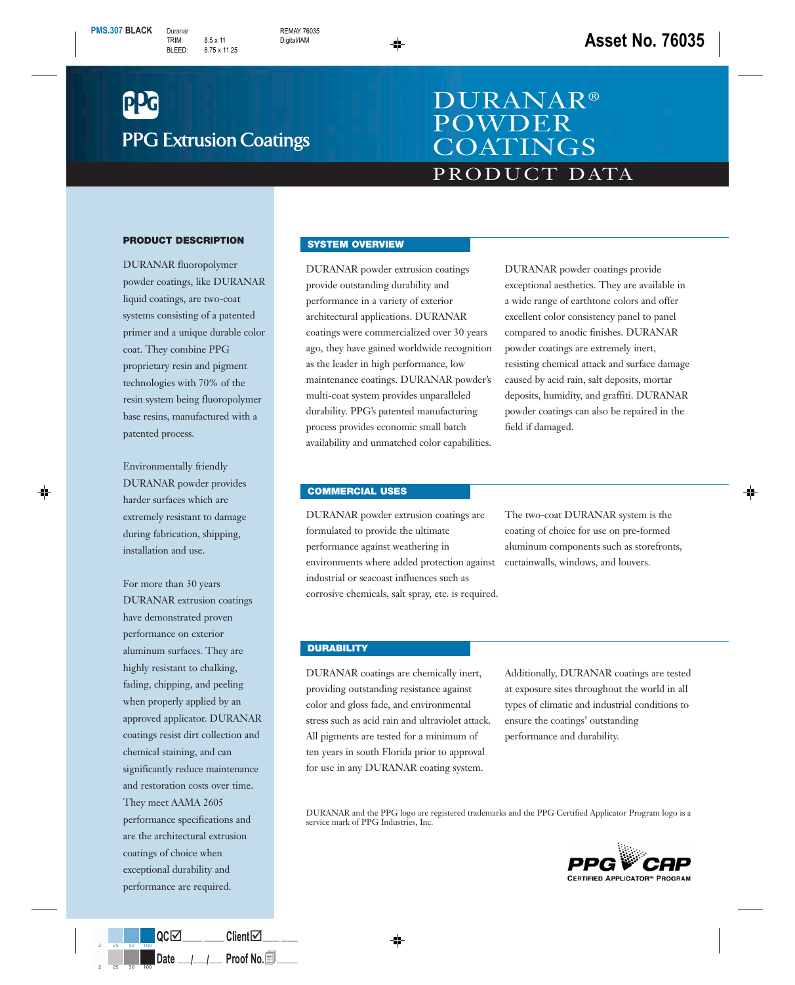# **PPG Extrusion Coatings**

## PRODUCT DATA DURANAR® POWDER **COATINGS**

#### **PRODUCT DESCRIPTION**

DURANAR fluoropolymer powder coatings, like DURANAR liquid coatings, are two-coat systems consisting of a patented primer and a unique durable color coat. They combine PPG proprietary resin and pigment technologies with 70% of the resin system being fluoropolymer base resins, manufactured with a patented process.

Environmentally friendly DURANAR powder provides harder surfaces which are extremely resistant to damage during fabrication, shipping, installation and use.

For more than 30 years DURANAR extrusion coatings have demonstrated proven performance on exterior aluminum surfaces. They are highly resistant to chalking, fading, chipping, and peeling when properly applied by an approved applicator. DURANAR coatings resist dirt collection and chemical staining, and can significantly reduce maintenance and restoration costs over time. They meet AAMA 2605 performance specifications and are the architectural extrusion coatings of choice when exceptional durability and performance are required.

#### **SYSTEM OVERVIEW**

DURANAR powder extrusion coatings provide outstanding durability and performance in a variety of exterior architectural applications. DURANAR coatings were commercialized over 30 years ago, they have gained worldwide recognition as the leader in high performance, low maintenance coatings. DURANAR powder's multi-coat system provides unparalleled durability. PPG's patented manufacturing process provides economic small batch availability and unmatched color capabilities.

DURANAR powder coatings provide exceptional aesthetics. They are available in a wide range of earthtone colors and offer excellent color consistency panel to panel compared to anodic finishes. DURANAR powder coatings are extremely inert, resisting chemical attack and surface damage caused by acid rain, salt deposits, mortar deposits, humidity, and graffiti. DURANAR powder coatings can also be repaired in the field if damaged.

#### **COMMERCIAL USES**

DURANAR powder extrusion coatings are formulated to provide the ultimate performance against weathering in environments where added protection against industrial or seacoast influences such as corrosive chemicals, salt spray, etc. is required.

The two-coat DURANAR system is the coating of choice for use on pre-formed aluminum components such as storefronts, curtainwalls, windows, and louvers.

#### **DURABILITY**

DURANAR coatings are chemically inert, providing outstanding resistance against color and gloss fade, and environmental stress such as acid rain and ultraviolet attack. All pigments are tested for a minimum of ten years in south Florida prior to approval for use in any DURANAR coating system.

Additionally, DURANAR coatings are tested at exposure sites throughout the world in all types of climatic and industrial conditions to ensure the coatings' outstanding performance and durability.

DURANAR and the PPG logo are registered trademarks and the PPG Certified Applicator Program logo is a service mark of PPG Industries, Inc.